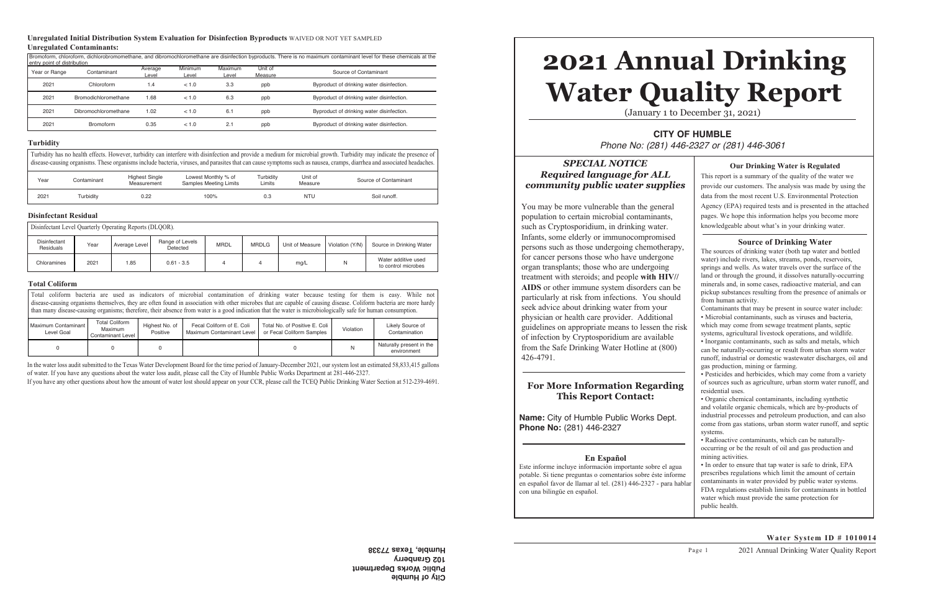# *SPECIAL NOTICE Required language for ALL community public water supplies*

You may be more vulnerable than the general population to certain microbial contaminants, such as Cryptosporidium, in drinking water. Infants, some elderly or immunocompromised persons such as those undergoing chemotherapy, for cancer persons those who have undergone organ transplants; those who are undergoing treatment with steroids; and people **with HIV// AIDS** or other immune system disorders can be particularly at risk from infections. You should seek advice about drinking water from your physician or health care provider. Additional guidelines on appropriate means to lessen the risk of infection by Cryptosporidium are available from the Safe Drinking Water Hotline at (800) 426-4791.

# **2021 Annual Drinking Water Quality Report** (January 1 to December 31, 2021)

**CITY OF HUMBLE** *Phone No: (281) 446-2327 or (281) 446-3061*

## **For More Information Regarding This Report Contact:**

**Name:** City of Humble Public Works Dept. **Phone No:** (281) 446-2327

## **En Español**

Este informe incluye información importante sobre el agua potable. Si tiene preguntas o comentarios sobre éste informe en español favor de llamar al tel. (281) 446-2327 - para hablar con una bilingüe en español.

In the water loss audit submitted to the Texas Water Development Board for the time period of January-December 2021, our system lost an estimated 58,833,415 gallons of water. If you have any questions about the water loss audit, please call the City of Humble Public Works Department at 281-446-2327.

If you have any other questions about how the amount of water lost should appear on your CCR, please call the TCEQ Public Drinking Water Section at 512-239-4691.

Turbidity has no health effects. However, turbidity can interfere with disinfection and provide a medium for microbial growth. Turbidity may indicate the presence of disease-causing organisms. These organisms include bacteria, viruses, and parasites that can cause symptoms such as nausea, cramps, diarrhea and associated headaches.

| <b>Our Drinking Water is Regulated</b><br>This report is a summary of the quality of the water we<br>provide our customers. The analysis was made by using the<br>data from the most recent U.S. Environmental Protection<br>Agency (EPA) required tests and is presented in the attached<br>pages. We hope this information helps you become more<br>knowledgeable about what's in your drinking water.                                                                                                                                                                                                                                                                                                                                                                                                                                                                                                                                                                                                                                                                                                                                                                                                                                                                                                                                                                                                                                                                                                                                                                                                                                                                                                                                                                                                           |
|--------------------------------------------------------------------------------------------------------------------------------------------------------------------------------------------------------------------------------------------------------------------------------------------------------------------------------------------------------------------------------------------------------------------------------------------------------------------------------------------------------------------------------------------------------------------------------------------------------------------------------------------------------------------------------------------------------------------------------------------------------------------------------------------------------------------------------------------------------------------------------------------------------------------------------------------------------------------------------------------------------------------------------------------------------------------------------------------------------------------------------------------------------------------------------------------------------------------------------------------------------------------------------------------------------------------------------------------------------------------------------------------------------------------------------------------------------------------------------------------------------------------------------------------------------------------------------------------------------------------------------------------------------------------------------------------------------------------------------------------------------------------------------------------------------------------|
| <b>Source of Drinking Water</b><br>The sources of drinking water (both tap water and bottled<br>water) include rivers, lakes, streams, ponds, reservoirs,<br>springs and wells. As water travels over the surface of the<br>land or through the ground, it dissolves naturally-occurring<br>minerals and, in some cases, radioactive material, and can<br>pickup substances resulting from the presence of animals or<br>from human activity.<br>Contaminants that may be present in source water include:<br>· Microbial contaminants, such as viruses and bacteria,<br>which may come from sewage treatment plants, septic<br>systems, agricultural livestock operations, and wildlife.<br>· Inorganic contaminants, such as salts and metals, which<br>can be naturally-occurring or result from urban storm water<br>runoff, industrial or domestic wastewater discharges, oil and<br>gas production, mining or farming.<br>· Pesticides and herbicides, which may come from a variety<br>of sources such as agriculture, urban storm water runoff, and<br>residential uses.<br>• Organic chemical contaminants, including synthetic<br>and volatile organic chemicals, which are by-products of<br>industrial processes and petroleum production, and can also<br>come from gas stations, urban storm water runoff, and septic<br>systems.<br>· Radioactive contaminants, which can be naturally-<br>occurring or be the result of oil and gas production and<br>mining activities.<br>· In order to ensure that tap water is safe to drink, EPA<br>prescribes regulations which limit the amount of certain<br>contaminants in water provided by public water systems.<br>FDA regulations establish limits for contaminants in bottled<br>water which must provide the same protection for<br>public health. |

## **Water System ID # 1010014**

| Year | Contaminant | <b>Highest Single</b><br>Measurement | Lowest Monthly % of<br><b>Samples Meeting Limits</b> | Turbidity<br>Limits | Unit of<br>Measure | Source of Contaminant |
|------|-------------|--------------------------------------|------------------------------------------------------|---------------------|--------------------|-----------------------|
| 2021 | Turbiditv   | 0.22                                 | 100%                                                 | 0.3                 | <b>NTU</b>         | Soil runoff.          |

| Disinfectant Level Quarterly Operating Reports (DLQOR). |                           |      |               |                             |             |              |                 |                 |                                            |
|---------------------------------------------------------|---------------------------|------|---------------|-----------------------------|-------------|--------------|-----------------|-----------------|--------------------------------------------|
|                                                         | Disinfectant<br>Residuals | Year | Average Level | Range of Levels<br>Detected | <b>MRDL</b> | <b>MRDLG</b> | Unit of Measure | Violation (Y/N) | Source in Drinking Water                   |
|                                                         | Chloramines               | 2021 | .85           | $0.61 - 3.5$                |             |              | mg/L            | N               | Water additive used<br>to control microbes |

Total coliform bacteria are used as indicators of microbial contamination of drinking water because testing for them is easy. While not disease-causing organisms themselves, they are often found in association with other microbes that are capable of causing disease. Coliform bacteria are more hardy than many disease-causing organisms; therefore, their absence from water is a good indication that the water is microbiologically safe for human consumption.

| Maximum Contaminant I<br>Level Goal | <b>Total Coliform</b><br><b>Maximum</b><br><b>Contaminant Level</b> | Highest No. of<br>Positive | Fecal Coliform of E. Coli<br>Maximum Contaminant Level | Total No. of Positive E. Coli<br>or Fecal Coliform Samples | Violation | Likely Source of<br>Contamination       |
|-------------------------------------|---------------------------------------------------------------------|----------------------------|--------------------------------------------------------|------------------------------------------------------------|-----------|-----------------------------------------|
|                                     |                                                                     |                            |                                                        |                                                            |           | Naturally present in the<br>environment |

**City of Humble Public Works Department 102 Granberry Humble, Texas 77338**

#### **Turbidity**

#### **Disinfectant Residual**

#### **Total Coliform**

#### **Unregulated Initial Distribution System Evaluation for Disinfection Byproducts** WAIVED OR NOT YET SAMPLED **Unregulated Contaminants:**

Bromoform, chloroform, dichlorobromomethane, and dibromochloromethane are disinfection byproducts. There is no maximum contaminant level for these chemicals at the entry point of distribution Year or Range Contaminant Average Level **Minimum** Level **Maximum** Level Unit of<br>Measure Source of Contaminant 2021 Chloroform 1.4 < 1.0 3.3 ppb Byproduct of drinking water disinfection. 2021 Bromodichloromethane 1.68 < 1.0 6.3 ppb Byproduct of drinking water disinfection. 2021 Dibromochloromethane 1.02 < 1.0 6.1 ppb Byproduct of drinking water disinfection. 2021 Bromoform 0.35 < 1.0 2.1 ppb Byproduct of drinking water disinfection.